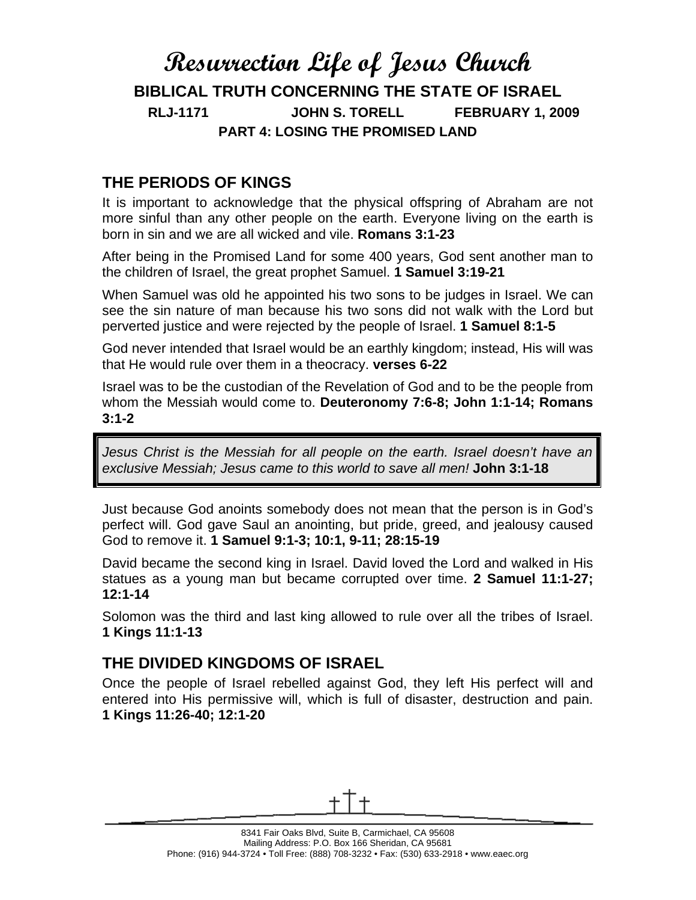# **Resurrection Life of Jesus Church BIBLICAL TRUTH CONCERNING THE STATE OF ISRAEL RLJ-1171 JOHN S. TORELL FEBRUARY 1, 2009 PART 4: LOSING THE PROMISED LAND**

#### **THE PERIODS OF KINGS**

It is important to acknowledge that the physical offspring of Abraham are not more sinful than any other people on the earth. Everyone living on the earth is born in sin and we are all wicked and vile. **Romans 3:1-23**

After being in the Promised Land for some 400 years, God sent another man to the children of Israel, the great prophet Samuel. **1 Samuel 3:19-21**

When Samuel was old he appointed his two sons to be judges in Israel. We can see the sin nature of man because his two sons did not walk with the Lord but perverted justice and were rejected by the people of Israel. **1 Samuel 8:1-5**

God never intended that Israel would be an earthly kingdom; instead, His will was that He would rule over them in a theocracy. **verses 6-22**

Israel was to be the custodian of the Revelation of God and to be the people from whom the Messiah would come to. **Deuteronomy 7:6-8; John 1:1-14; Romans 3:1-2**

*Jesus Christ is the Messiah for all people on the earth. Israel doesn't have an exclusive Messiah; Jesus came to this world to save all men!* **John 3:1-18**

Just because God anoints somebody does not mean that the person is in God's perfect will. God gave Saul an anointing, but pride, greed, and jealousy caused God to remove it. **1 Samuel 9:1-3; 10:1, 9-11; 28:15-19**

David became the second king in Israel. David loved the Lord and walked in His statues as a young man but became corrupted over time. **2 Samuel 11:1-27; 12:1-14**

Solomon was the third and last king allowed to rule over all the tribes of Israel. **1 Kings 11:1-13**

## **THE DIVIDED KINGDOMS OF ISRAEL**

Once the people of Israel rebelled against God, they left His perfect will and entered into His permissive will, which is full of disaster, destruction and pain. **1 Kings 11:26-40; 12:1-20**